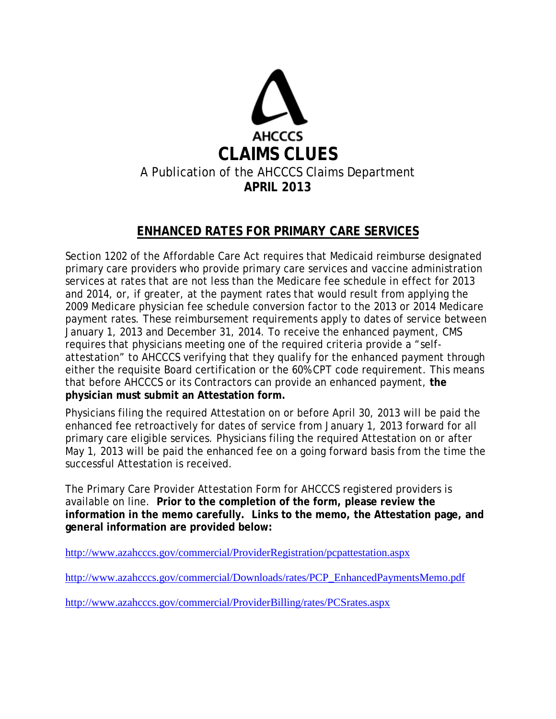

## **ENHANCED RATES FOR PRIMARY CARE SERVICES**

Section 1202 of the Affordable Care Act requires that Medicaid reimburse designated primary care providers who provide primary care services and vaccine administration services at rates that are not less than the Medicare fee schedule in effect for 2013 and 2014, or, if greater, at the payment rates that would result from applying the 2009 Medicare physician fee schedule conversion factor to the 2013 or 2014 Medicare payment rates. These reimbursement requirements apply to dates of service between January 1, 2013 and December 31, 2014. To receive the enhanced payment, CMS requires that physicians meeting one of the required criteria provide a "selfattestation" to AHCCCS verifying that they qualify for the enhanced payment through either the requisite Board certification or the 60% CPT code requirement. This means that before AHCCCS or its Contractors can provide an enhanced payment, **the physician must submit an Attestation form.** 

Physicians filing the required Attestation on or before April 30, 2013 will be paid the enhanced fee retroactively for dates of service from January 1, 2013 forward for all primary care eligible services. Physicians filing the required Attestation on or after May 1, 2013 will be paid the enhanced fee on a going forward basis from the time the successful Attestation is received.

The Primary Care Provider Attestation Form for AHCCCS registered providers is available on line. **Prior to the completion of the form, please review the information in the memo carefully. Links to the memo, the Attestation page, and general information are provided below:**

<http://www.azahcccs.gov/commercial/ProviderRegistration/pcpattestation.aspx>

[http://www.azahcccs.gov/commercial/Downloads/rates/PCP\\_EnhancedPaymentsMemo.pdf](http://www.azahcccs.gov/commercial/Downloads/rates/PCP_EnhancedPaymentsMemo.pdf)

<http://www.azahcccs.gov/commercial/ProviderBilling/rates/PCSrates.aspx>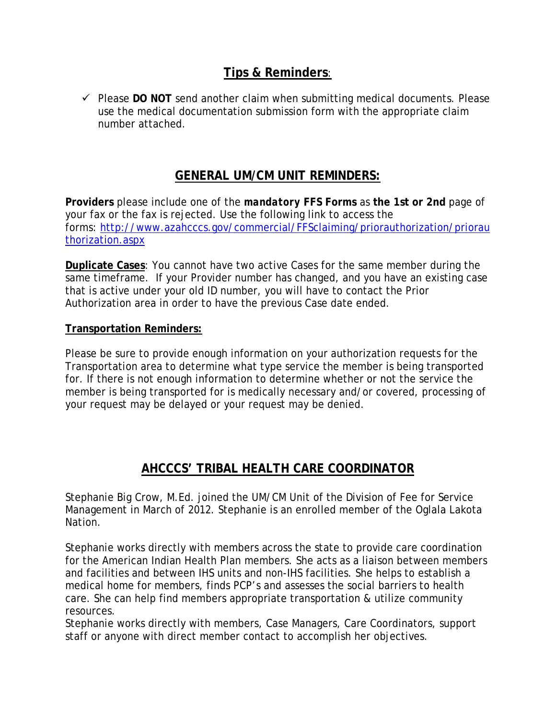### **Tips & Reminders**:

 $\checkmark$  Please DO NOT send another claim when submitting medical documents. Please use the medical documentation submission form with the appropriate claim number attached.

### **GENERAL UM/CM UNIT REMINDERS:**

**Providers** please include one of the *mandatory* **FFS Forms** as **the 1st or 2nd** page of your fax or the fax is rejected. Use the following link to access the forms: [http://www.azahcccs.gov/commercial/FFSclaiming/priorauthorization/priorau](http://www.azahcccs.gov/commercial/FFSclaiming/priorauthorization/priorauthorization.aspx) [thorization.aspx](http://www.azahcccs.gov/commercial/FFSclaiming/priorauthorization/priorauthorization.aspx)

**Duplicate Cases**: You cannot have two active Cases for the same member during the same timeframe. If your Provider number has changed, and you have an existing case that is active under your old ID number, you will have to contact the Prior Authorization area in order to have the previous Case date ended.

#### **Transportation Reminders:**

Please be sure to provide enough information on your authorization requests for the Transportation area to determine what type service the member is being transported for. If there is not enough information to determine whether or not the service the member is being transported for is medically necessary and/or covered, processing of your request may be delayed or your request may be denied.

# **AHCCCS' TRIBAL HEALTH CARE COORDINATOR**

Stephanie Big Crow, M.Ed. joined the UM/CM Unit of the Division of Fee for Service Management in March of 2012. Stephanie is an enrolled member of the Oglala Lakota Nation.

Stephanie works directly with members across the state to provide care coordination for the American Indian Health Plan members. She acts as a liaison between members and facilities and between IHS units and non-IHS facilities. She helps to establish a medical home for members, finds PCP's and assesses the social barriers to health care. She can help find members appropriate transportation & utilize community resources.

Stephanie works directly with members, Case Managers, Care Coordinators, support staff or anyone with direct member contact to accomplish her objectives.